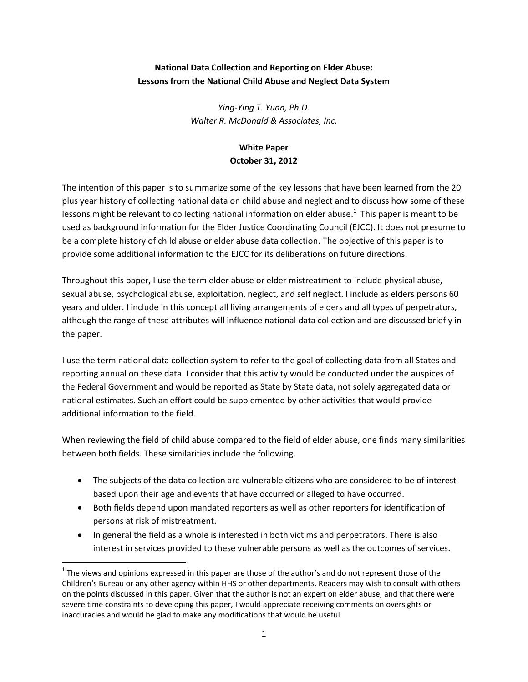# **National Data Collection and Reporting on Elder Abuse: Lessons from the National Child Abuse and Neglect Data System**

*Ying-Ying T. Yuan, Ph.D. Walter R. McDonald & Associates, Inc.* 

# **White Paper October 31, 2012**

The intention of this paper is to summarize some of the key lessons that have been learned from the 20 plus year history of collecting national data on child abuse and neglect and to discuss how some of these lessons might be relevant to collecting national information on elder abuse.<sup>1</sup> This paper is meant to be used as background information for the Elder Justice Coordinating Council (EJCC). It does not presume to be a complete history of child abuse or elder abuse data collection. The objective of this paper is to provide some additional information to the EJCC for its deliberations on future directions.

Throughout this paper, I use the term elder abuse or elder mistreatment to include physical abuse, sexual abuse, psychological abuse, exploitation, neglect, and self neglect. I include as elders persons 60 years and older. I include in this concept all living arrangements of elders and all types of perpetrators, although the range of these attributes will influence national data collection and are discussed briefly in the paper.

I use the term national data collection system to refer to the goal of collecting data from all States and reporting annual on these data. I consider that this activity would be conducted under the auspices of the Federal Government and would be reported as State by State data, not solely aggregated data or national estimates. Such an effort could be supplemented by other activities that would provide additional information to the field.

When reviewing the field of child abuse compared to the field of elder abuse, one finds many similarities between both fields. These similarities include the following.

- The subjects of the data collection are vulnerable citizens who are considered to be of interest based upon their age and events that have occurred or alleged to have occurred.
- Both fields depend upon mandated reporters as well as other reporters for identification of persons at risk of mistreatment.
- In general the field as a whole is interested in both victims and perpetrators. There is also interest in services provided to these vulnerable persons as well as the outcomes of services.

l

 $1$  The views and opinions expressed in this paper are those of the author's and do not represent those of the Children's Bureau or any other agency within HHS or other departments. Readers may wish to consult with others on the points discussed in this paper. Given that the author is not an expert on elder abuse, and that there were severe time constraints to developing this paper, I would appreciate receiving comments on oversights or inaccuracies and would be glad to make any modifications that would be useful.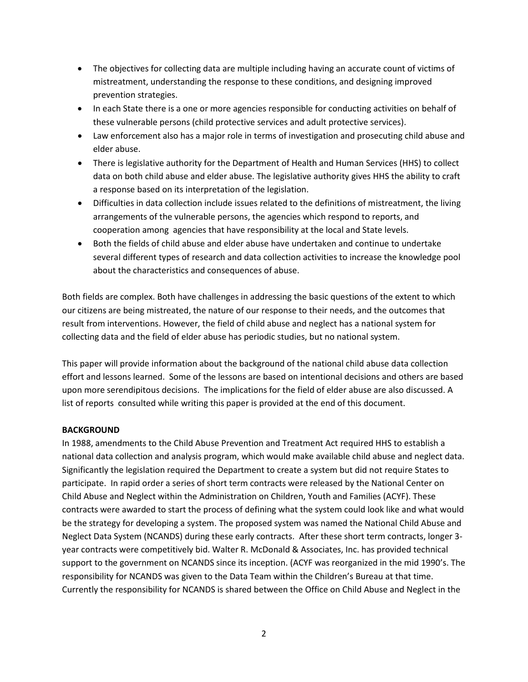- The objectives for collecting data are multiple including having an accurate count of victims of mistreatment, understanding the response to these conditions, and designing improved prevention strategies.
- In each State there is a one or more agencies responsible for conducting activities on behalf of these vulnerable persons (child protective services and adult protective services).
- Law enforcement also has a major role in terms of investigation and prosecuting child abuse and elder abuse.
- There is legislative authority for the Department of Health and Human Services (HHS) to collect data on both child abuse and elder abuse. The legislative authority gives HHS the ability to craft a response based on its interpretation of the legislation.
- Difficulties in data collection include issues related to the definitions of mistreatment, the living arrangements of the vulnerable persons, the agencies which respond to reports, and cooperation among agencies that have responsibility at the local and State levels.
- Both the fields of child abuse and elder abuse have undertaken and continue to undertake several different types of research and data collection activities to increase the knowledge pool about the characteristics and consequences of abuse.

Both fields are complex. Both have challenges in addressing the basic questions of the extent to which our citizens are being mistreated, the nature of our response to their needs, and the outcomes that result from interventions. However, the field of child abuse and neglect has a national system for collecting data and the field of elder abuse has periodic studies, but no national system.

This paper will provide information about the background of the national child abuse data collection effort and lessons learned. Some of the lessons are based on intentional decisions and others are based upon more serendipitous decisions. The implications for the field of elder abuse are also discussed. A list of reports consulted while writing this paper is provided at the end of this document.

## **BACKGROUND**

In 1988, amendments to the Child Abuse Prevention and Treatment Act required HHS to establish a national data collection and analysis program, which would make available child abuse and neglect data. Significantly the legislation required the Department to create a system but did not require States to participate. In rapid order a series of short term contracts were released by the National Center on Child Abuse and Neglect within the Administration on Children, Youth and Families (ACYF). These contracts were awarded to start the process of defining what the system could look like and what would be the strategy for developing a system. The proposed system was named the National Child Abuse and Neglect Data System (NCANDS) during these early contracts. After these short term contracts, longer 3 year contracts were competitively bid. Walter R. McDonald & Associates, Inc. has provided technical support to the government on NCANDS since its inception. (ACYF was reorganized in the mid 1990's. The responsibility for NCANDS was given to the Data Team within the Children's Bureau at that time. Currently the responsibility for NCANDS is shared between the Office on Child Abuse and Neglect in the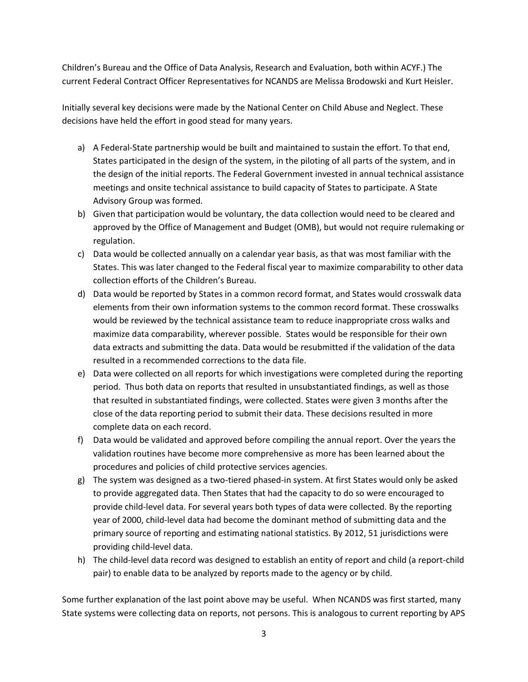Children's Bureau and the Office of Data Analysis, Research and Evaluation, both within ACYF.) The current Federal Contract Officer Representatives for NCANDS are Melissa Brodowski and Kurt Heisler.

Initially several key decisions were made by the National Center on Child Abuse and Neglect. These decisions have held the effort in good stead for many years.

- a) A Federal-State partnership would be built and maintained to sustain the effort. To that end, States participated in the design of the system, in the piloting of all parts of the system, and in the design of the initial reports. The Federal Government invested in annual technical assistance meetings and onsite technical assistance to build capacity of States to participate. A State Advisory Group was formed.
- b) Given that participation would be voluntary, the data collection would need to be cleared and approved by the Office of Management and Budget (OMB), but would not require rulemaking or regulation.
- c) Data would be collected annually on a calendar year basis, as that was most familiar with the States. This was later changed to the Federal fiscal year to maximize comparability to other data collection efforts of the Children's Bureau.
- d) Data would be reported by States in a common record format, and States would crosswalk data elements from their own information systems to the common record format. These crosswalks would be reviewed by the technical assistance team to reduce inappropriate cross walks and maximize data comparability, wherever possible. States would be responsible for their own data extracts and submitting the data. Data would be resubmitted if the validation of the data resulted in a recommended corrections to the data file.
- e) Data were collected on all reports for which investigations were completed during the reporting period. Thus both data on reports that resulted in unsubstantiated findings, as well as those that resulted in substantiated findings, were collected. States were given 3 months after the close of the data reporting period to submit their data. These decisions resulted in more complete data on each record.
- f) Data would be validated and approved before compiling the annual report. Over the years the validation routines have become more comprehensive as more has been learned about the procedures and policies of child protective services agencies.
- g) The system was designed as a two-tiered phased-in system. At first States would only be asked to provide aggregated data. Then States that had the capacity to do so were encouraged to provide child-level data. For several years both types of data were collected. By the reporting year of 2000, child-level data had become the dominant method of submitting data and the primary source of reporting and estimating national statistics. By 2012, 51 jurisdictions were providing child-level data.
- h) The child-level data record was designed to establish an entity of report and child (a report-child pair) to enable data to be analyzed by reports made to the agency or by child.

Some further explanation of the last point above may be useful. When NCANDS was first started, many State systems were collecting data on reports, not persons. This is analogous to current reporting by APS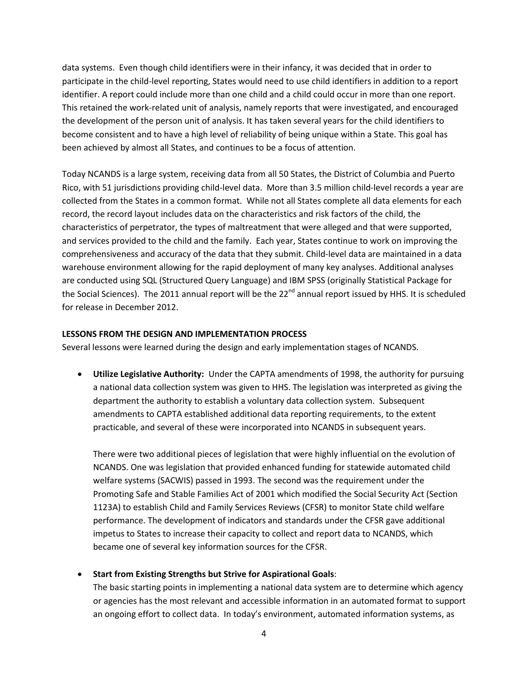data systems. Even though child identifiers were in their infancy, it was decided that in order to participate in the child-level reporting, States would need to use child identifiers in addition to a report identifier. A report could include more than one child and a child could occur in more than one report. This retained the work-related unit of analysis, namely reports that were investigated, and encouraged the development of the person unit of analysis. It has taken several years for the child identifiers to become consistent and to have a high level of reliability of being unique within a State. This goal has been achieved by almost all States, and continues to be a focus of attention.

Today NCANDS is a large system, receiving data from all 50 States, the District of Columbia and Puerto Rico, with 51 jurisdictions providing child-level data. More than 3.5 million child-level records a year are collected from the States in a common format. While not all States complete all data elements for each record, the record layout includes data on the characteristics and risk factors of the child, the characteristics of perpetrator, the types of maltreatment that were alleged and that were supported, and services provided to the child and the family. Each year, States continue to work on improving the comprehensiveness and accuracy of the data that they submit. Child-level data are maintained in a data warehouse environment allowing for the rapid deployment of many key analyses. Additional analyses are conducted using SQL (Structured Query Language) and IBM SPSS (originally Statistical Package for the Social Sciences). The 2011 annual report will be the 22<sup>nd</sup> annual report issued by HHS. It is scheduled for release in December 2012.

#### **LESSONS FROM THE DESIGN AND IMPLEMENTATION PROCESS**

Several lessons were learned during the design and early implementation stages of NCANDS.

 **Utilize Legislative Authority:** Under the CAPTA amendments of 1998, the authority for pursuing a national data collection system was given to HHS. The legislation was interpreted as giving the department the authority to establish a voluntary data collection system. Subsequent amendments to CAPTA established additional data reporting requirements, to the extent practicable, and several of these were incorporated into NCANDS in subsequent years.

There were two additional pieces of legislation that were highly influential on the evolution of NCANDS. One was legislation that provided enhanced funding for statewide automated child welfare systems (SACWIS) passed in 1993. The second was the requirement under the Promoting Safe and Stable Families Act of 2001 which modified the Social Security Act (Section 1123A) to establish Child and Family Services Reviews (CFSR) to monitor State child welfare performance. The development of indicators and standards under the CFSR gave additional impetus to States to increase their capacity to collect and report data to NCANDS, which became one of several key information sources for the CFSR.

## **Start from Existing Strengths but Strive for Aspirational Goals**:

The basic starting points in implementing a national data system are to determine which agency or agencies has the most relevant and accessible information in an automated format to support an ongoing effort to collect data. In today's environment, automated information systems, as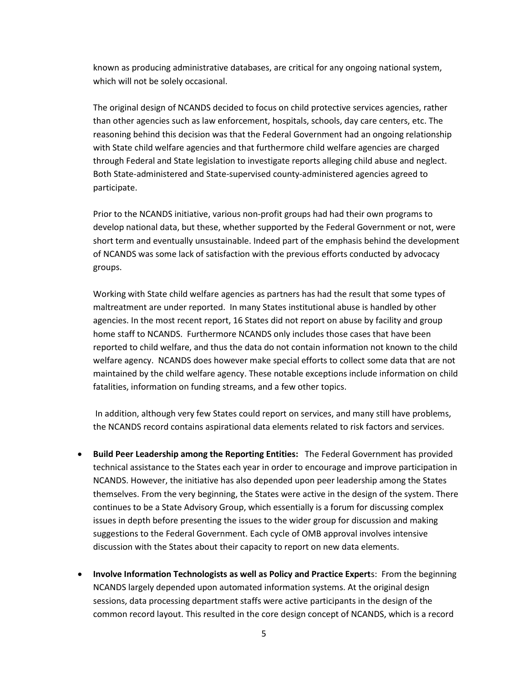known as producing administrative databases, are critical for any ongoing national system, which will not be solely occasional.

The original design of NCANDS decided to focus on child protective services agencies, rather than other agencies such as law enforcement, hospitals, schools, day care centers, etc. The reasoning behind this decision was that the Federal Government had an ongoing relationship with State child welfare agencies and that furthermore child welfare agencies are charged through Federal and State legislation to investigate reports alleging child abuse and neglect. Both State-administered and State-supervised county-administered agencies agreed to participate.

Prior to the NCANDS initiative, various non-profit groups had had their own programs to develop national data, but these, whether supported by the Federal Government or not, were short term and eventually unsustainable. Indeed part of the emphasis behind the development of NCANDS was some lack of satisfaction with the previous efforts conducted by advocacy groups.

Working with State child welfare agencies as partners has had the result that some types of maltreatment are under reported. In many States institutional abuse is handled by other agencies. In the most recent report, 16 States did not report on abuse by facility and group home staff to NCANDS. Furthermore NCANDS only includes those cases that have been reported to child welfare, and thus the data do not contain information not known to the child welfare agency. NCANDS does however make special efforts to collect some data that are not maintained by the child welfare agency. These notable exceptions include information on child fatalities, information on funding streams, and a few other topics.

 In addition, although very few States could report on services, and many still have problems, the NCANDS record contains aspirational data elements related to risk factors and services.

- **Build Peer Leadership among the Reporting Entities:** The Federal Government has provided technical assistance to the States each year in order to encourage and improve participation in NCANDS. However, the initiative has also depended upon peer leadership among the States themselves. From the very beginning, the States were active in the design of the system. There continues to be a State Advisory Group, which essentially is a forum for discussing complex issues in depth before presenting the issues to the wider group for discussion and making suggestions to the Federal Government. Each cycle of OMB approval involves intensive discussion with the States about their capacity to report on new data elements.
- **Involve Information Technologists as well as Policy and Practice Expert**s: From the beginning NCANDS largely depended upon automated information systems. At the original design sessions, data processing department staffs were active participants in the design of the common record layout. This resulted in the core design concept of NCANDS, which is a record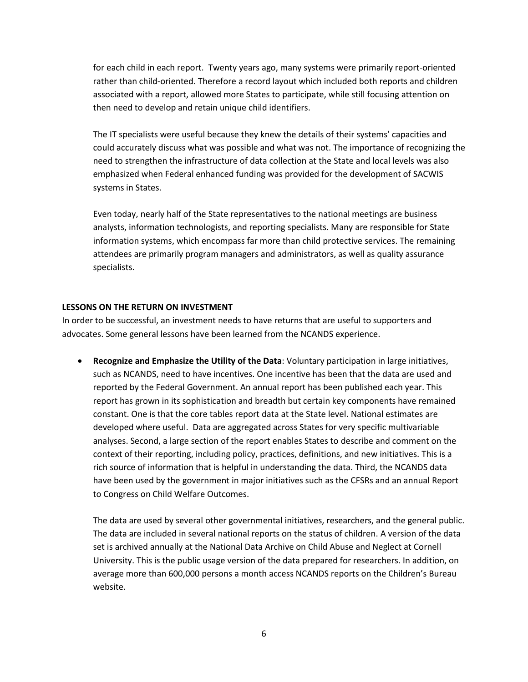for each child in each report. Twenty years ago, many systems were primarily report-oriented rather than child-oriented. Therefore a record layout which included both reports and children associated with a report, allowed more States to participate, while still focusing attention on then need to develop and retain unique child identifiers.

The IT specialists were useful because they knew the details of their systems' capacities and could accurately discuss what was possible and what was not. The importance of recognizing the need to strengthen the infrastructure of data collection at the State and local levels was also emphasized when Federal enhanced funding was provided for the development of SACWIS systems in States.

Even today, nearly half of the State representatives to the national meetings are business analysts, information technologists, and reporting specialists. Many are responsible for State information systems, which encompass far more than child protective services. The remaining attendees are primarily program managers and administrators, as well as quality assurance specialists.

### **LESSONS ON THE RETURN ON INVESTMENT**

In order to be successful, an investment needs to have returns that are useful to supporters and advocates. Some general lessons have been learned from the NCANDS experience.

 **Recognize and Emphasize the Utility of the Data**: Voluntary participation in large initiatives, such as NCANDS, need to have incentives. One incentive has been that the data are used and reported by the Federal Government. An annual report has been published each year. This report has grown in its sophistication and breadth but certain key components have remained constant. One is that the core tables report data at the State level. National estimates are developed where useful. Data are aggregated across States for very specific multivariable analyses. Second, a large section of the report enables States to describe and comment on the context of their reporting, including policy, practices, definitions, and new initiatives. This is a rich source of information that is helpful in understanding the data. Third, the NCANDS data have been used by the government in major initiatives such as the CFSRs and an annual Report to Congress on Child Welfare Outcomes.

The data are used by several other governmental initiatives, researchers, and the general public. The data are included in several national reports on the status of children. A version of the data set is archived annually at the National Data Archive on Child Abuse and Neglect at Cornell University. This is the public usage version of the data prepared for researchers. In addition, on average more than 600,000 persons a month access NCANDS reports on the Children's Bureau website.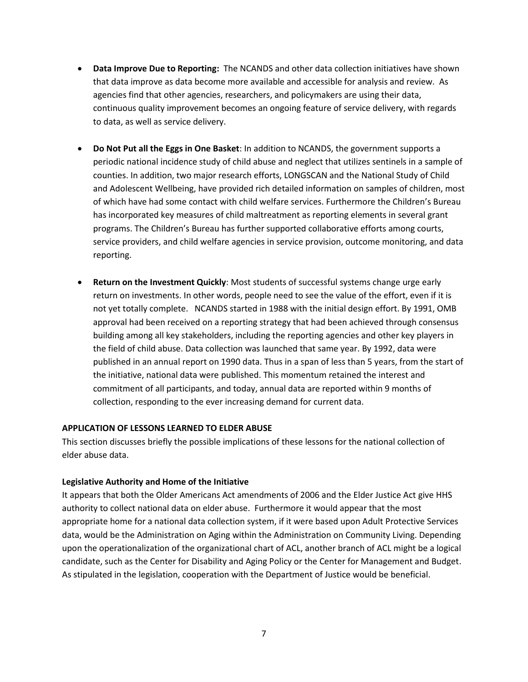- **Data Improve Due to Reporting:** The NCANDS and other data collection initiatives have shown that data improve as data become more available and accessible for analysis and review. As agencies find that other agencies, researchers, and policymakers are using their data, continuous quality improvement becomes an ongoing feature of service delivery, with regards to data, as well as service delivery.
- **Do Not Put all the Eggs in One Basket**: In addition to NCANDS, the government supports a periodic national incidence study of child abuse and neglect that utilizes sentinels in a sample of counties. In addition, two major research efforts, LONGSCAN and the National Study of Child and Adolescent Wellbeing, have provided rich detailed information on samples of children, most of which have had some contact with child welfare services. Furthermore the Children's Bureau has incorporated key measures of child maltreatment as reporting elements in several grant programs. The Children's Bureau has further supported collaborative efforts among courts, service providers, and child welfare agencies in service provision, outcome monitoring, and data reporting.
- **Return on the Investment Quickly**: Most students of successful systems change urge early return on investments. In other words, people need to see the value of the effort, even if it is not yet totally complete. NCANDS started in 1988 with the initial design effort. By 1991, OMB approval had been received on a reporting strategy that had been achieved through consensus building among all key stakeholders, including the reporting agencies and other key players in the field of child abuse. Data collection was launched that same year. By 1992, data were published in an annual report on 1990 data. Thus in a span of less than 5 years, from the start of the initiative, national data were published. This momentum retained the interest and commitment of all participants, and today, annual data are reported within 9 months of collection, responding to the ever increasing demand for current data.

#### **APPLICATION OF LESSONS LEARNED TO ELDER ABUSE**

This section discusses briefly the possible implications of these lessons for the national collection of elder abuse data.

#### **Legislative Authority and Home of the Initiative**

It appears that both the Older Americans Act amendments of 2006 and the Elder Justice Act give HHS authority to collect national data on elder abuse. Furthermore it would appear that the most appropriate home for a national data collection system, if it were based upon Adult Protective Services data, would be the Administration on Aging within the Administration on Community Living. Depending upon the operationalization of the organizational chart of ACL, another branch of ACL might be a logical candidate, such as the Center for Disability and Aging Policy or the Center for Management and Budget. As stipulated in the legislation, cooperation with the Department of Justice would be beneficial.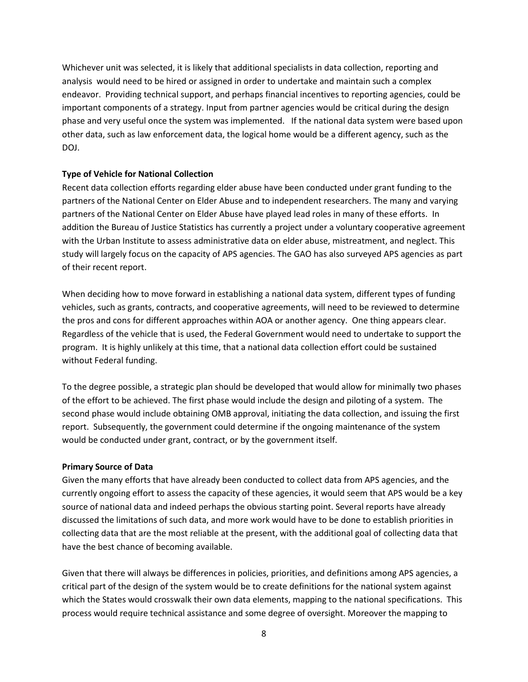Whichever unit was selected, it is likely that additional specialists in data collection, reporting and analysis would need to be hired or assigned in order to undertake and maintain such a complex endeavor. Providing technical support, and perhaps financial incentives to reporting agencies, could be important components of a strategy. Input from partner agencies would be critical during the design phase and very useful once the system was implemented. If the national data system were based upon other data, such as law enforcement data, the logical home would be a different agency, such as the DOJ.

### **Type of Vehicle for National Collection**

Recent data collection efforts regarding elder abuse have been conducted under grant funding to the partners of the National Center on Elder Abuse and to independent researchers. The many and varying partners of the National Center on Elder Abuse have played lead roles in many of these efforts. In addition the Bureau of Justice Statistics has currently a project under a voluntary cooperative agreement with the Urban Institute to assess administrative data on elder abuse, mistreatment, and neglect. This study will largely focus on the capacity of APS agencies. The GAO has also surveyed APS agencies as part of their recent report.

When deciding how to move forward in establishing a national data system, different types of funding vehicles, such as grants, contracts, and cooperative agreements, will need to be reviewed to determine the pros and cons for different approaches within AOA or another agency. One thing appears clear. Regardless of the vehicle that is used, the Federal Government would need to undertake to support the program. It is highly unlikely at this time, that a national data collection effort could be sustained without Federal funding.

To the degree possible, a strategic plan should be developed that would allow for minimally two phases of the effort to be achieved. The first phase would include the design and piloting of a system. The second phase would include obtaining OMB approval, initiating the data collection, and issuing the first report. Subsequently, the government could determine if the ongoing maintenance of the system would be conducted under grant, contract, or by the government itself.

#### **Primary Source of Data**

Given the many efforts that have already been conducted to collect data from APS agencies, and the currently ongoing effort to assess the capacity of these agencies, it would seem that APS would be a key source of national data and indeed perhaps the obvious starting point. Several reports have already discussed the limitations of such data, and more work would have to be done to establish priorities in collecting data that are the most reliable at the present, with the additional goal of collecting data that have the best chance of becoming available.

Given that there will always be differences in policies, priorities, and definitions among APS agencies, a critical part of the design of the system would be to create definitions for the national system against which the States would crosswalk their own data elements, mapping to the national specifications. This process would require technical assistance and some degree of oversight. Moreover the mapping to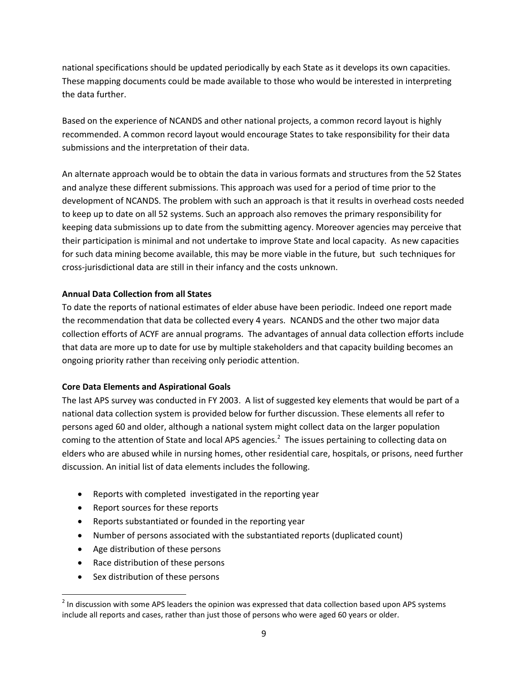national specifications should be updated periodically by each State as it develops its own capacities. These mapping documents could be made available to those who would be interested in interpreting the data further.

Based on the experience of NCANDS and other national projects, a common record layout is highly recommended. A common record layout would encourage States to take responsibility for their data submissions and the interpretation of their data.

An alternate approach would be to obtain the data in various formats and structures from the 52 States and analyze these different submissions. This approach was used for a period of time prior to the development of NCANDS. The problem with such an approach is that it results in overhead costs needed to keep up to date on all 52 systems. Such an approach also removes the primary responsibility for keeping data submissions up to date from the submitting agency. Moreover agencies may perceive that their participation is minimal and not undertake to improve State and local capacity. As new capacities for such data mining become available, this may be more viable in the future, but such techniques for cross-jurisdictional data are still in their infancy and the costs unknown.

## **Annual Data Collection from all States**

To date the reports of national estimates of elder abuse have been periodic. Indeed one report made the recommendation that data be collected every 4 years. NCANDS and the other two major data collection efforts of ACYF are annual programs. The advantages of annual data collection efforts include that data are more up to date for use by multiple stakeholders and that capacity building becomes an ongoing priority rather than receiving only periodic attention.

## **Core Data Elements and Aspirational Goals**

The last APS survey was conducted in FY 2003. A list of suggested key elements that would be part of a national data collection system is provided below for further discussion. These elements all refer to persons aged 60 and older, although a national system might collect data on the larger population coming to the attention of State and local APS agencies.<sup>2</sup> The issues pertaining to collecting data on elders who are abused while in nursing homes, other residential care, hospitals, or prisons, need further discussion. An initial list of data elements includes the following.

- Reports with completed investigated in the reporting year
- Report sources for these reports
- Reports substantiated or founded in the reporting year
- Number of persons associated with the substantiated reports (duplicated count)
- Age distribution of these persons
- Race distribution of these persons
- Sex distribution of these persons

l

 $^2$  In discussion with some APS leaders the opinion was expressed that data collection based upon APS systems include all reports and cases, rather than just those of persons who were aged 60 years or older.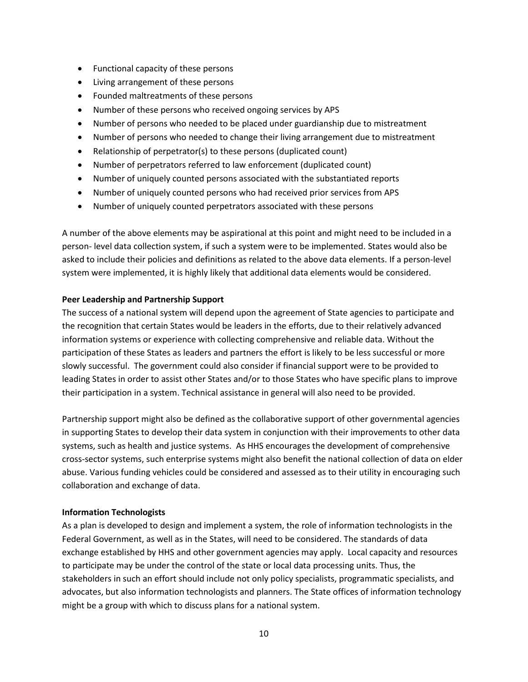- Functional capacity of these persons
- Living arrangement of these persons
- Founded maltreatments of these persons
- Number of these persons who received ongoing services by APS
- Number of persons who needed to be placed under guardianship due to mistreatment
- Number of persons who needed to change their living arrangement due to mistreatment
- Relationship of perpetrator(s) to these persons (duplicated count)
- Number of perpetrators referred to law enforcement (duplicated count)
- Number of uniquely counted persons associated with the substantiated reports
- Number of uniquely counted persons who had received prior services from APS
- Number of uniquely counted perpetrators associated with these persons

A number of the above elements may be aspirational at this point and might need to be included in a person- level data collection system, if such a system were to be implemented. States would also be asked to include their policies and definitions as related to the above data elements. If a person-level system were implemented, it is highly likely that additional data elements would be considered.

## **Peer Leadership and Partnership Support**

The success of a national system will depend upon the agreement of State agencies to participate and the recognition that certain States would be leaders in the efforts, due to their relatively advanced information systems or experience with collecting comprehensive and reliable data. Without the participation of these States as leaders and partners the effort is likely to be less successful or more slowly successful. The government could also consider if financial support were to be provided to leading States in order to assist other States and/or to those States who have specific plans to improve their participation in a system. Technical assistance in general will also need to be provided.

Partnership support might also be defined as the collaborative support of other governmental agencies in supporting States to develop their data system in conjunction with their improvements to other data systems, such as health and justice systems. As HHS encourages the development of comprehensive cross-sector systems, such enterprise systems might also benefit the national collection of data on elder abuse. Various funding vehicles could be considered and assessed as to their utility in encouraging such collaboration and exchange of data.

## **Information Technologists**

As a plan is developed to design and implement a system, the role of information technologists in the Federal Government, as well as in the States, will need to be considered. The standards of data exchange established by HHS and other government agencies may apply. Local capacity and resources to participate may be under the control of the state or local data processing units. Thus, the stakeholders in such an effort should include not only policy specialists, programmatic specialists, and advocates, but also information technologists and planners. The State offices of information technology might be a group with which to discuss plans for a national system.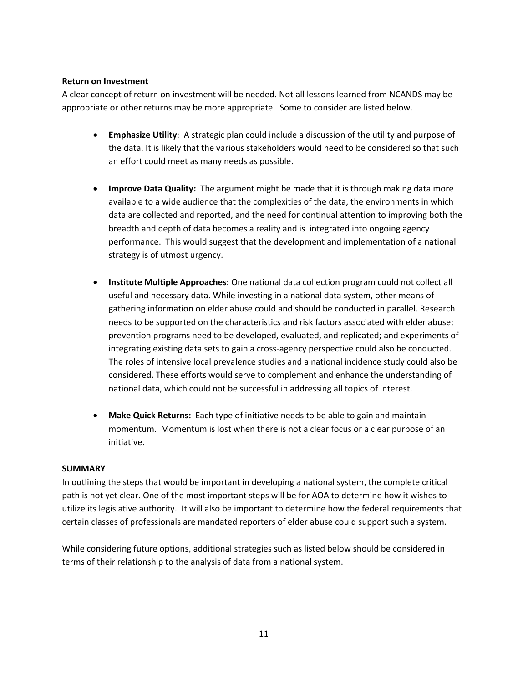## **Return on Investment**

A clear concept of return on investment will be needed. Not all lessons learned from NCANDS may be appropriate or other returns may be more appropriate. Some to consider are listed below.

- **Emphasize Utility**: A strategic plan could include a discussion of the utility and purpose of the data. It is likely that the various stakeholders would need to be considered so that such an effort could meet as many needs as possible.
- **Improve Data Quality:** The argument might be made that it is through making data more available to a wide audience that the complexities of the data, the environments in which data are collected and reported, and the need for continual attention to improving both the breadth and depth of data becomes a reality and is integrated into ongoing agency performance. This would suggest that the development and implementation of a national strategy is of utmost urgency.
- **Institute Multiple Approaches:** One national data collection program could not collect all useful and necessary data. While investing in a national data system, other means of gathering information on elder abuse could and should be conducted in parallel. Research needs to be supported on the characteristics and risk factors associated with elder abuse; prevention programs need to be developed, evaluated, and replicated; and experiments of integrating existing data sets to gain a cross-agency perspective could also be conducted. The roles of intensive local prevalence studies and a national incidence study could also be considered. These efforts would serve to complement and enhance the understanding of national data, which could not be successful in addressing all topics of interest.
- **Make Quick Returns:** Each type of initiative needs to be able to gain and maintain momentum. Momentum is lost when there is not a clear focus or a clear purpose of an initiative.

## **SUMMARY**

In outlining the steps that would be important in developing a national system, the complete critical path is not yet clear. One of the most important steps will be for AOA to determine how it wishes to utilize its legislative authority. It will also be important to determine how the federal requirements that certain classes of professionals are mandated reporters of elder abuse could support such a system.

While considering future options, additional strategies such as listed below should be considered in terms of their relationship to the analysis of data from a national system.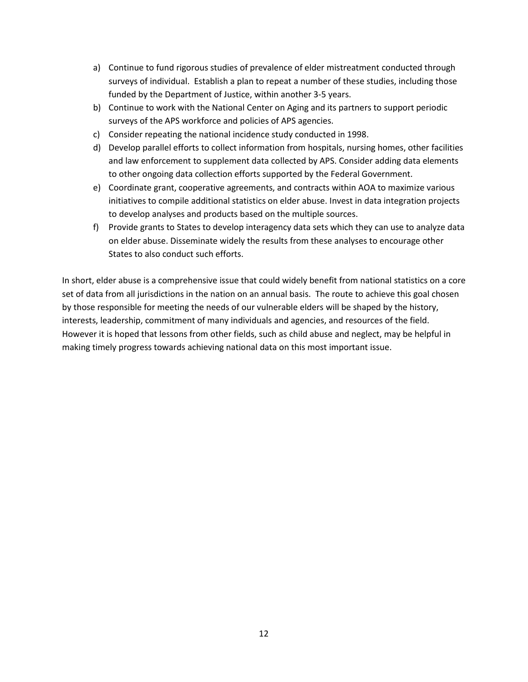- a) Continue to fund rigorous studies of prevalence of elder mistreatment conducted through surveys of individual. Establish a plan to repeat a number of these studies, including those funded by the Department of Justice, within another 3-5 years.
- b) Continue to work with the National Center on Aging and its partners to support periodic surveys of the APS workforce and policies of APS agencies.
- c) Consider repeating the national incidence study conducted in 1998.
- d) Develop parallel efforts to collect information from hospitals, nursing homes, other facilities and law enforcement to supplement data collected by APS. Consider adding data elements to other ongoing data collection efforts supported by the Federal Government.
- e) Coordinate grant, cooperative agreements, and contracts within AOA to maximize various initiatives to compile additional statistics on elder abuse. Invest in data integration projects to develop analyses and products based on the multiple sources.
- f) Provide grants to States to develop interagency data sets which they can use to analyze data on elder abuse. Disseminate widely the results from these analyses to encourage other States to also conduct such efforts.

In short, elder abuse is a comprehensive issue that could widely benefit from national statistics on a core set of data from all jurisdictions in the nation on an annual basis. The route to achieve this goal chosen by those responsible for meeting the needs of our vulnerable elders will be shaped by the history, interests, leadership, commitment of many individuals and agencies, and resources of the field. However it is hoped that lessons from other fields, such as child abuse and neglect, may be helpful in making timely progress towards achieving national data on this most important issue.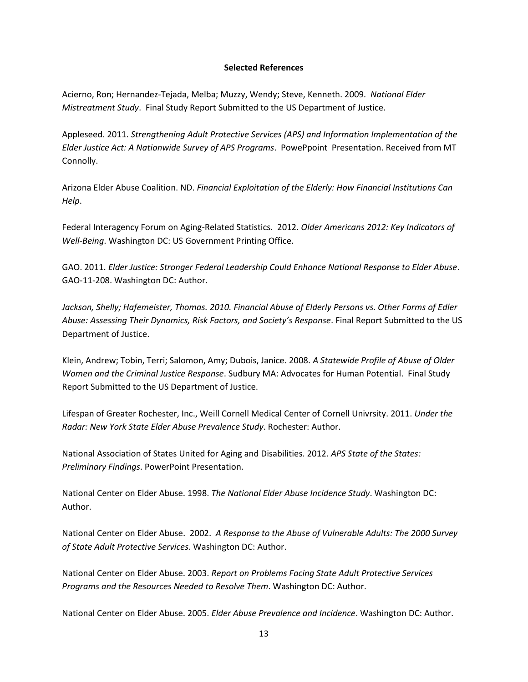### **Selected References**

Acierno, Ron; Hernandez-Tejada, Melba; Muzzy, Wendy; Steve, Kenneth. 2009*. National Elder Mistreatment Study*. Final Study Report Submitted to the US Department of Justice.

Appleseed. 2011. *Strengthening Adult Protective Services (APS) and Information Implementation of the Elder Justice Act: A Nationwide Survey of APS Programs*. PowePpoint Presentation. Received from MT Connolly.

Arizona Elder Abuse Coalition. ND. *Financial Exploitation of the Elderly: How Financial Institutions Can Help*.

Federal Interagency Forum on Aging-Related Statistics. 2012. *Older Americans 2012: Key Indicators of Well-Being*. Washington DC: US Government Printing Office.

GAO. 2011. *Elder Justice: Stronger Federal Leadership Could Enhance National Response to Elder Abuse*. GAO-11-208. Washington DC: Author.

*Jackson, Shelly; Hafemeister, Thomas. 2010. Financial Abuse of Elderly Persons vs. Other Forms of Edler Abuse: Assessing Their Dynamics, Risk Factors, and Society's Response*. Final Report Submitted to the US Department of Justice.

Klein, Andrew; Tobin, Terri; Salomon, Amy; Dubois, Janice. 2008. *A Statewide Profile of Abuse of Older Women and the Criminal Justice Response*. Sudbury MA: Advocates for Human Potential. Final Study Report Submitted to the US Department of Justice.

Lifespan of Greater Rochester, Inc., Weill Cornell Medical Center of Cornell Univrsity. 2011. *Under the Radar: New York State Elder Abuse Prevalence Study*. Rochester: Author.

National Association of States United for Aging and Disabilities. 2012. *APS State of the States: Preliminary Findings*. PowerPoint Presentation.

National Center on Elder Abuse. 1998. *The National Elder Abuse Incidence Study*. Washington DC: Author.

National Center on Elder Abuse. 2002. *A Response to the Abuse of Vulnerable Adults: The 2000 Survey of State Adult Protective Services*. Washington DC: Author.

National Center on Elder Abuse. 2003. *Report on Problems Facing State Adult Protective Services Programs and the Resources Needed to Resolve Them*. Washington DC: Author.

National Center on Elder Abuse. 2005. *Elder Abuse Prevalence and Incidence*. Washington DC: Author.